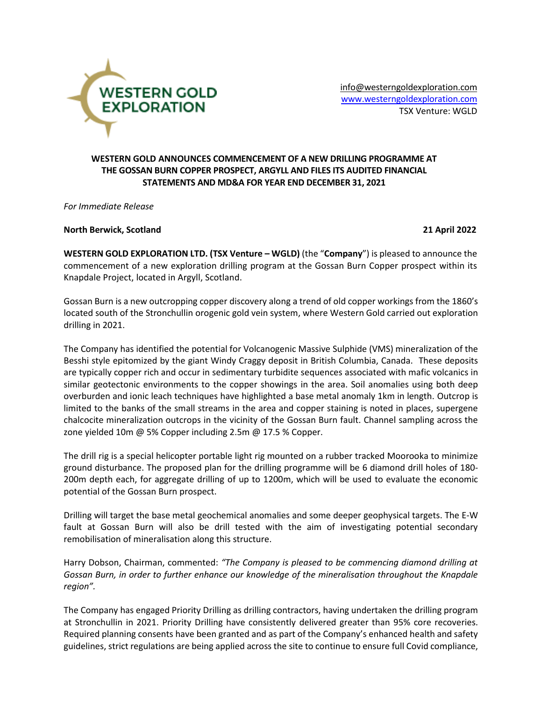

[info@westerngoldexploration.com](mailto:info@westerngoldexploration.com) [www.westerngoldexploration.com](http://www.westerngoldexploration.com/) TSX Venture: WGLD

# **WESTERN GOLD ANNOUNCES COMMENCEMENT OF A NEW DRILLING PROGRAMME AT THE GOSSAN BURN COPPER PROSPECT, ARGYLL AND FILES ITS AUDITED FINANCIAL STATEMENTS AND MD&A FOR YEAR END DECEMBER 31, 2021**

*For Immediate Release*

### **North Berwick, Scotland 21 April 2022**

**WESTERN GOLD EXPLORATION LTD. (TSX Venture – WGLD)** (the "**Company**") is pleased to announce the commencement of a new exploration drilling program at the Gossan Burn Copper prospect within its Knapdale Project, located in Argyll, Scotland.

Gossan Burn is a new outcropping copper discovery along a trend of old copper workings from the 1860's located south of the Stronchullin orogenic gold vein system, where Western Gold carried out exploration drilling in 2021.

The Company has identified the potential for Volcanogenic Massive Sulphide (VMS) mineralization of the Besshi style epitomized by the giant Windy Craggy deposit in British Columbia, Canada. These deposits are typically copper rich and occur in sedimentary turbidite sequences associated with mafic volcanics in similar geotectonic environments to the copper showings in the area. Soil anomalies using both deep overburden and ionic leach techniques have highlighted a base metal anomaly 1km in length. Outcrop is limited to the banks of the small streams in the area and copper staining is noted in places, supergene chalcocite mineralization outcrops in the vicinity of the Gossan Burn fault. Channel sampling across the zone yielded 10m @ 5% Copper including 2.5m @ 17.5 % Copper.

The drill rig is a special helicopter portable light rig mounted on a rubber tracked Moorooka to minimize ground disturbance. The proposed plan for the drilling programme will be 6 diamond drill holes of 180- 200m depth each, for aggregate drilling of up to 1200m, which will be used to evaluate the economic potential of the Gossan Burn prospect.

Drilling will target the base metal geochemical anomalies and some deeper geophysical targets. The E-W fault at Gossan Burn will also be drill tested with the aim of investigating potential secondary remobilisation of mineralisation along this structure.

Harry Dobson, Chairman, commented: *"The Company is pleased to be commencing diamond drilling at Gossan Burn, in order to further enhance our knowledge of the mineralisation throughout the Knapdale region".*

The Company has engaged Priority Drilling as drilling contractors, having undertaken the drilling program at Stronchullin in 2021. Priority Drilling have consistently delivered greater than 95% core recoveries. Required planning consents have been granted and as part of the Company's enhanced health and safety guidelines, strict regulations are being applied across the site to continue to ensure full Covid compliance,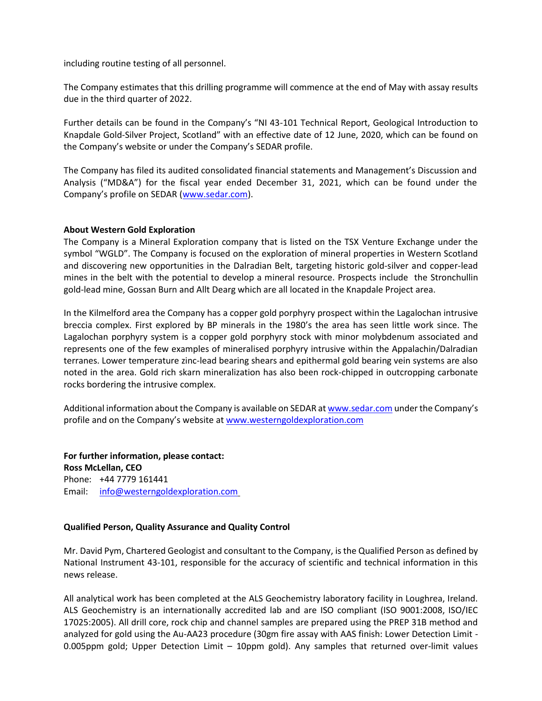including routine testing of all personnel.

The Company estimates that this drilling programme will commence at the end of May with assay results due in the third quarter of 2022.

Further details can be found in the Company's "NI 43-101 Technical Report, Geological Introduction to Knapdale Gold-Silver Project, Scotland" with an effective date of 12 June, 2020, which can be found on the Company's website or under the Company's SEDAR profile.

The Company has filed its audited consolidated financial statements and Management's Discussion and Analysis ("MD&A") for the fiscal year ended December 31, 2021, which can be found under the Company's profile on SEDAR ([www.sedar.com\)](http://www.sedar.com/).

### **About Western Gold Exploration**

The Company is a Mineral Exploration company that is listed on the TSX Venture Exchange under the symbol "WGLD". The Company is focused on the exploration of mineral properties in Western Scotland and discovering new opportunities in the Dalradian Belt, targeting historic gold-silver and copper-lead mines in the belt with the potential to develop a mineral resource. Prospects include the Stronchullin gold-lead mine, Gossan Burn and Allt Dearg which are all located in the Knapdale Project area.

In the Kilmelford area the Company has a copper gold porphyry prospect within the Lagalochan intrusive breccia complex. First explored by BP minerals in the 1980's the area has seen little work since. The Lagalochan porphyry system is a copper gold porphyry stock with minor molybdenum associated and represents one of the few examples of mineralised porphyry intrusive within the Appalachin/Dalradian terranes. Lower temperature zinc-lead bearing shears and epithermal gold bearing vein systems are also noted in the area. Gold rich skarn mineralization has also been rock-chipped in outcropping carbonate rocks bordering the intrusive complex.

Additional information about the Company is available on SEDAR a[t www.sedar.com](http://www.sedar.com/) under the Company's profile and on the Company's website a[t www.westerngoldexploration.com](http://www.westerngoldexploration.com/)

**For further information, please contact: Ross McLellan, CEO** Phone: +44 7779 161441 Email: [info@westerngoldexploration.com](mailto:info@westerngoldexploration.com)

#### **Qualified Person, Quality Assurance and Quality Control**

Mr. David Pym, Chartered Geologist and consultant to the Company, is the Qualified Person as defined by National Instrument 43-101, responsible for the accuracy of scientific and technical information in this news release.

All analytical work has been completed at the ALS Geochemistry laboratory facility in Loughrea, Ireland. ALS Geochemistry is an internationally accredited lab and are ISO compliant (ISO 9001:2008, ISO/IEC 17025:2005). All drill core, rock chip and channel samples are prepared using the PREP 31B method and analyzed for gold using the Au-AA23 procedure (30gm fire assay with AAS finish: Lower Detection Limit - 0.005ppm gold; Upper Detection Limit – 10ppm gold). Any samples that returned over-limit values